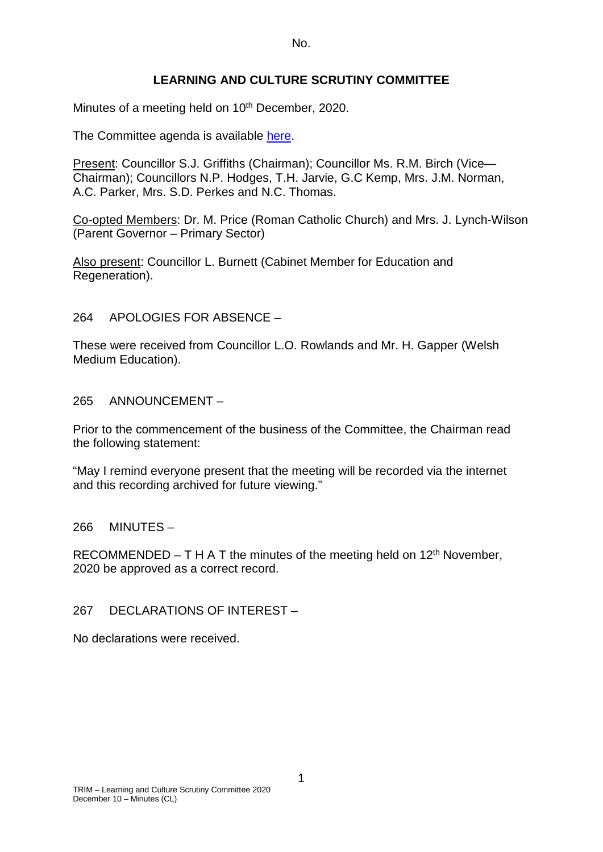No.

# **LEARNING AND CULTURE SCRUTINY COMMITTEE**

Minutes of a meeting held on 10<sup>th</sup> December, 2020.

The Committee agenda is available [here.](https://www.valeofglamorgan.gov.uk/en/our_council/Council-Structure/minutes,_agendas_and_reports/agendas/Scrutiny-LC/2020/20-12-10.aspx)

Present: Councillor S.J. Griffiths (Chairman); Councillor Ms. R.M. Birch (Vice— Chairman); Councillors N.P. Hodges, T.H. Jarvie, G.C Kemp, Mrs. J.M. Norman, A.C. Parker, Mrs. S.D. Perkes and N.C. Thomas.

Co-opted Members: Dr. M. Price (Roman Catholic Church) and Mrs. J. Lynch-Wilson (Parent Governor – Primary Sector)

Also present: Councillor L. Burnett (Cabinet Member for Education and Regeneration).

264 APOLOGIES FOR ABSENCE –

These were received from Councillor L.O. Rowlands and Mr. H. Gapper (Welsh Medium Education).

265 ANNOUNCEMENT –

Prior to the commencement of the business of the Committee, the Chairman read the following statement:

"May I remind everyone present that the meeting will be recorded via the internet and this recording archived for future viewing."

266 MINUTES –

RECOMMENDED – T H A T the minutes of the meeting held on  $12<sup>th</sup>$  November, 2020 be approved as a correct record.

267 DECLARATIONS OF INTEREST –

No declarations were received.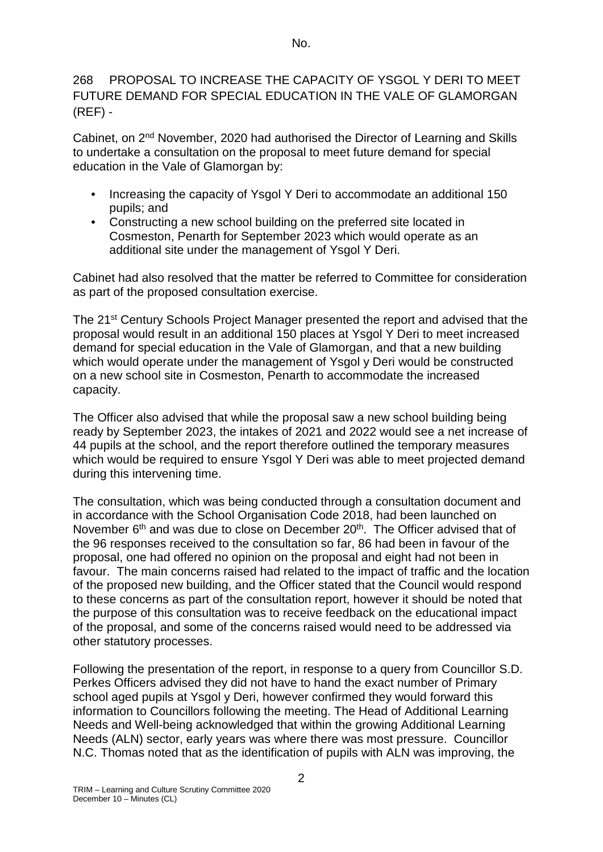# 268 PROPOSAL TO INCREASE THE CAPACITY OF YSGOL Y DERI TO MEET FUTURE DEMAND FOR SPECIAL EDUCATION IN THE VALE OF GLAMORGAN  $(REF)$  -

Cabinet, on 2nd November, 2020 had authorised the Director of Learning and Skills to undertake a consultation on the proposal to meet future demand for special education in the Vale of Glamorgan by:

- Increasing the capacity of Ysgol Y Deri to accommodate an additional 150 pupils; and
- Constructing a new school building on the preferred site located in Cosmeston, Penarth for September 2023 which would operate as an additional site under the management of Ysgol Y Deri.

Cabinet had also resolved that the matter be referred to Committee for consideration as part of the proposed consultation exercise.

The 21st Century Schools Project Manager presented the report and advised that the proposal would result in an additional 150 places at Ysgol Y Deri to meet increased demand for special education in the Vale of Glamorgan, and that a new building which would operate under the management of Ysgol y Deri would be constructed on a new school site in Cosmeston, Penarth to accommodate the increased capacity.

The Officer also advised that while the proposal saw a new school building being ready by September 2023, the intakes of 2021 and 2022 would see a net increase of 44 pupils at the school, and the report therefore outlined the temporary measures which would be required to ensure Ysgol Y Deri was able to meet projected demand during this intervening time.

The consultation, which was being conducted through a consultation document and in accordance with the School Organisation Code 2018, had been launched on November  $6<sup>th</sup>$  and was due to close on December 20<sup>th</sup>. The Officer advised that of the 96 responses received to the consultation so far, 86 had been in favour of the proposal, one had offered no opinion on the proposal and eight had not been in favour. The main concerns raised had related to the impact of traffic and the location of the proposed new building, and the Officer stated that the Council would respond to these concerns as part of the consultation report, however it should be noted that the purpose of this consultation was to receive feedback on the educational impact of the proposal, and some of the concerns raised would need to be addressed via other statutory processes.

Following the presentation of the report, in response to a query from Councillor S.D. Perkes Officers advised they did not have to hand the exact number of Primary school aged pupils at Ysgol y Deri, however confirmed they would forward this information to Councillors following the meeting. The Head of Additional Learning Needs and Well-being acknowledged that within the growing Additional Learning Needs (ALN) sector, early years was where there was most pressure. Councillor N.C. Thomas noted that as the identification of pupils with ALN was improving, the

2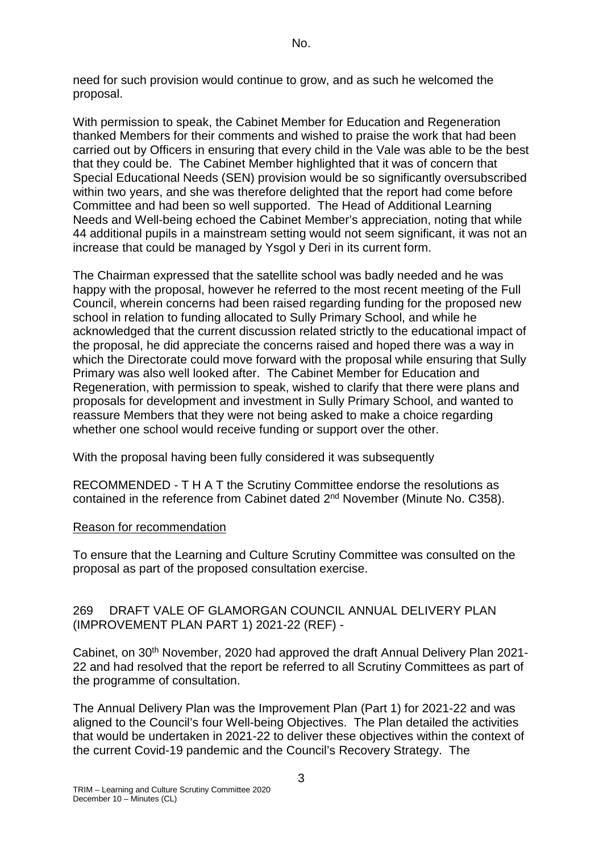need for such provision would continue to grow, and as such he welcomed the proposal.

With permission to speak, the Cabinet Member for Education and Regeneration thanked Members for their comments and wished to praise the work that had been carried out by Officers in ensuring that every child in the Vale was able to be the best that they could be. The Cabinet Member highlighted that it was of concern that Special Educational Needs (SEN) provision would be so significantly oversubscribed within two years, and she was therefore delighted that the report had come before Committee and had been so well supported. The Head of Additional Learning Needs and Well-being echoed the Cabinet Member's appreciation, noting that while 44 additional pupils in a mainstream setting would not seem significant, it was not an increase that could be managed by Ysgol y Deri in its current form.

The Chairman expressed that the satellite school was badly needed and he was happy with the proposal, however he referred to the most recent meeting of the Full Council, wherein concerns had been raised regarding funding for the proposed new school in relation to funding allocated to Sully Primary School, and while he acknowledged that the current discussion related strictly to the educational impact of the proposal, he did appreciate the concerns raised and hoped there was a way in which the Directorate could move forward with the proposal while ensuring that Sully Primary was also well looked after. The Cabinet Member for Education and Regeneration, with permission to speak, wished to clarify that there were plans and proposals for development and investment in Sully Primary School, and wanted to reassure Members that they were not being asked to make a choice regarding whether one school would receive funding or support over the other.

With the proposal having been fully considered it was subsequently

RECOMMENDED - T H A T the Scrutiny Committee endorse the resolutions as contained in the reference from Cabinet dated 2nd November (Minute No. C358).

# Reason for recommendation

To ensure that the Learning and Culture Scrutiny Committee was consulted on the proposal as part of the proposed consultation exercise.

### 269 DRAFT VALE OF GLAMORGAN COUNCIL ANNUAL DELIVERY PLAN (IMPROVEMENT PLAN PART 1) 2021-22 (REF) -

Cabinet, on 30<sup>th</sup> November, 2020 had approved the draft Annual Delivery Plan 2021-22 and had resolved that the report be referred to all Scrutiny Committees as part of the programme of consultation.

The Annual Delivery Plan was the Improvement Plan (Part 1) for 2021-22 and was aligned to the Council's four Well-being Objectives. The Plan detailed the activities that would be undertaken in 2021-22 to deliver these objectives within the context of the current Covid-19 pandemic and the Council's Recovery Strategy. The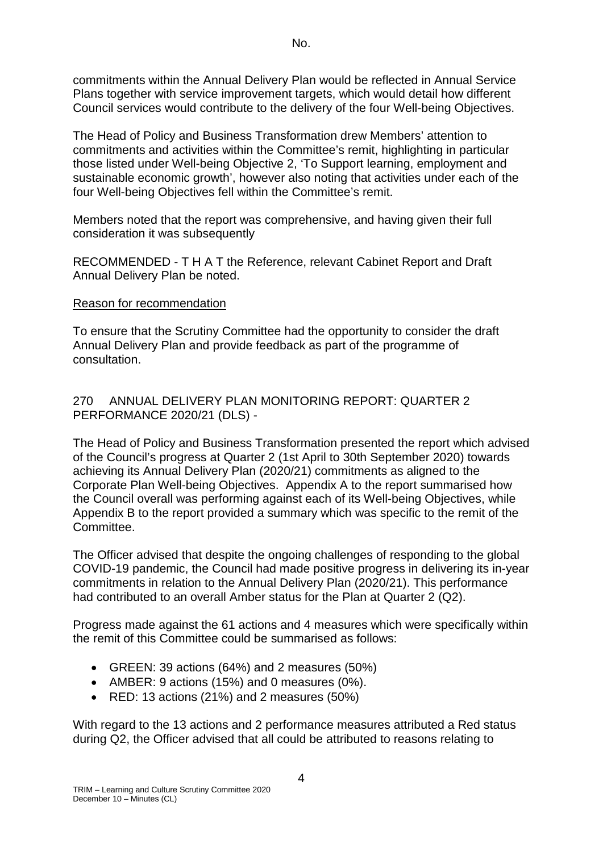commitments within the Annual Delivery Plan would be reflected in Annual Service Plans together with service improvement targets, which would detail how different Council services would contribute to the delivery of the four Well-being Objectives.

The Head of Policy and Business Transformation drew Members' attention to commitments and activities within the Committee's remit, highlighting in particular those listed under Well-being Objective 2, 'To Support learning, employment and sustainable economic growth', however also noting that activities under each of the four Well-being Objectives fell within the Committee's remit.

Members noted that the report was comprehensive, and having given their full consideration it was subsequently

RECOMMENDED - T H A T the Reference, relevant Cabinet Report and Draft Annual Delivery Plan be noted.

#### Reason for recommendation

To ensure that the Scrutiny Committee had the opportunity to consider the draft Annual Delivery Plan and provide feedback as part of the programme of consultation.

### 270 ANNUAL DELIVERY PLAN MONITORING REPORT: QUARTER 2 PERFORMANCE 2020/21 (DLS) -

The Head of Policy and Business Transformation presented the report which advised of the Council's progress at Quarter 2 (1st April to 30th September 2020) towards achieving its Annual Delivery Plan (2020/21) commitments as aligned to the Corporate Plan Well-being Objectives. Appendix A to the report summarised how the Council overall was performing against each of its Well-being Objectives, while Appendix B to the report provided a summary which was specific to the remit of the Committee.

The Officer advised that despite the ongoing challenges of responding to the global COVID-19 pandemic, the Council had made positive progress in delivering its in-year commitments in relation to the Annual Delivery Plan (2020/21). This performance had contributed to an overall Amber status for the Plan at Quarter 2 (Q2).

Progress made against the 61 actions and 4 measures which were specifically within the remit of this Committee could be summarised as follows:

- GREEN: 39 actions (64%) and 2 measures (50%)
- AMBER: 9 actions (15%) and 0 measures (0%).
- RED: 13 actions (21%) and 2 measures (50%)

With regard to the 13 actions and 2 performance measures attributed a Red status during Q2, the Officer advised that all could be attributed to reasons relating to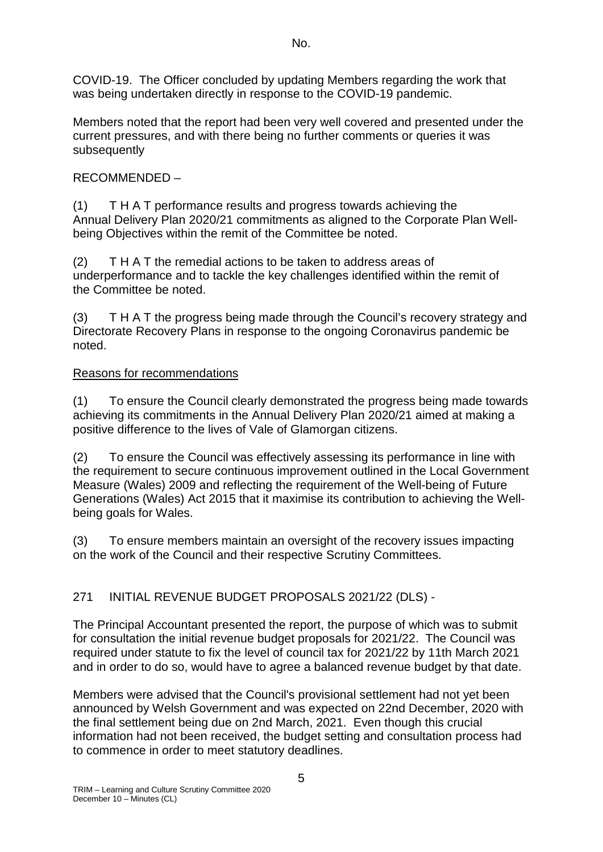No.

COVID-19. The Officer concluded by updating Members regarding the work that was being undertaken directly in response to the COVID-19 pandemic.

Members noted that the report had been very well covered and presented under the current pressures, and with there being no further comments or queries it was subsequently

# RECOMMENDED –

(1) T H A T performance results and progress towards achieving the Annual Delivery Plan 2020/21 commitments as aligned to the Corporate Plan Wellbeing Objectives within the remit of the Committee be noted.

(2) T H A T the remedial actions to be taken to address areas of underperformance and to tackle the key challenges identified within the remit of the Committee be noted.

(3) T H A T the progress being made through the Council's recovery strategy and Directorate Recovery Plans in response to the ongoing Coronavirus pandemic be noted.

# Reasons for recommendations

(1) To ensure the Council clearly demonstrated the progress being made towards achieving its commitments in the Annual Delivery Plan 2020/21 aimed at making a positive difference to the lives of Vale of Glamorgan citizens.

(2) To ensure the Council was effectively assessing its performance in line with the requirement to secure continuous improvement outlined in the Local Government Measure (Wales) 2009 and reflecting the requirement of the Well-being of Future Generations (Wales) Act 2015 that it maximise its contribution to achieving the Wellbeing goals for Wales.

(3) To ensure members maintain an oversight of the recovery issues impacting on the work of the Council and their respective Scrutiny Committees.

# 271 INITIAL REVENUE BUDGET PROPOSALS 2021/22 (DLS) -

The Principal Accountant presented the report, the purpose of which was to submit for consultation the initial revenue budget proposals for 2021/22. The Council was required under statute to fix the level of council tax for 2021/22 by 11th March 2021 and in order to do so, would have to agree a balanced revenue budget by that date.

Members were advised that the Council's provisional settlement had not yet been announced by Welsh Government and was expected on 22nd December, 2020 with the final settlement being due on 2nd March, 2021. Even though this crucial information had not been received, the budget setting and consultation process had to commence in order to meet statutory deadlines.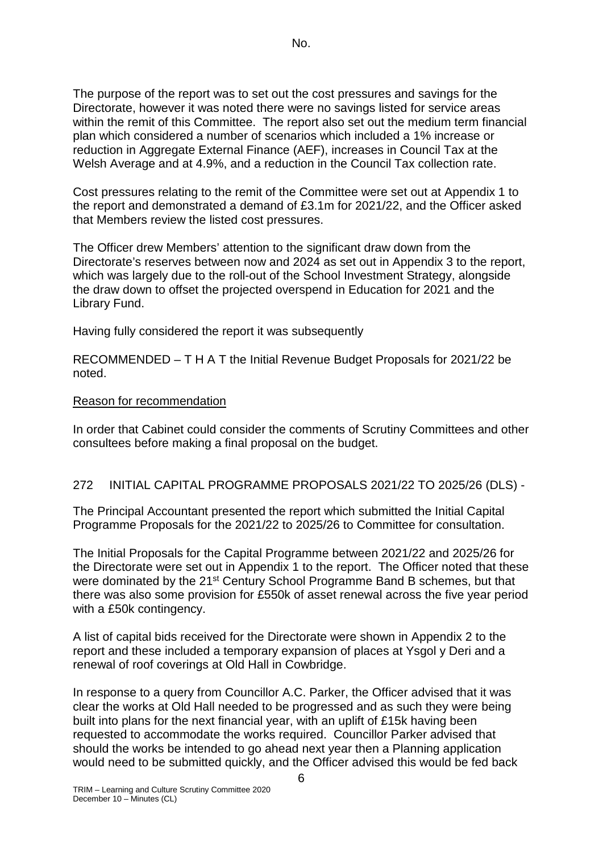The purpose of the report was to set out the cost pressures and savings for the Directorate, however it was noted there were no savings listed for service areas within the remit of this Committee. The report also set out the medium term financial plan which considered a number of scenarios which included a 1% increase or reduction in Aggregate External Finance (AEF), increases in Council Tax at the Welsh Average and at 4.9%, and a reduction in the Council Tax collection rate.

Cost pressures relating to the remit of the Committee were set out at Appendix 1 to the report and demonstrated a demand of £3.1m for 2021/22, and the Officer asked that Members review the listed cost pressures.

The Officer drew Members' attention to the significant draw down from the Directorate's reserves between now and 2024 as set out in Appendix 3 to the report, which was largely due to the roll-out of the School Investment Strategy, alongside the draw down to offset the projected overspend in Education for 2021 and the Library Fund.

Having fully considered the report it was subsequently

RECOMMENDED – T H A T the Initial Revenue Budget Proposals for 2021/22 be noted.

#### Reason for recommendation

In order that Cabinet could consider the comments of Scrutiny Committees and other consultees before making a final proposal on the budget.

#### 272 INITIAL CAPITAL PROGRAMME PROPOSALS 2021/22 TO 2025/26 (DLS) -

The Principal Accountant presented the report which submitted the Initial Capital Programme Proposals for the 2021/22 to 2025/26 to Committee for consultation.

The Initial Proposals for the Capital Programme between 2021/22 and 2025/26 for the Directorate were set out in Appendix 1 to the report. The Officer noted that these were dominated by the 21<sup>st</sup> Century School Programme Band B schemes, but that there was also some provision for £550k of asset renewal across the five year period with a £50k contingency.

A list of capital bids received for the Directorate were shown in Appendix 2 to the report and these included a temporary expansion of places at Ysgol y Deri and a renewal of roof coverings at Old Hall in Cowbridge.

In response to a query from Councillor A.C. Parker, the Officer advised that it was clear the works at Old Hall needed to be progressed and as such they were being built into plans for the next financial year, with an uplift of £15k having been requested to accommodate the works required. Councillor Parker advised that should the works be intended to go ahead next year then a Planning application would need to be submitted quickly, and the Officer advised this would be fed back

6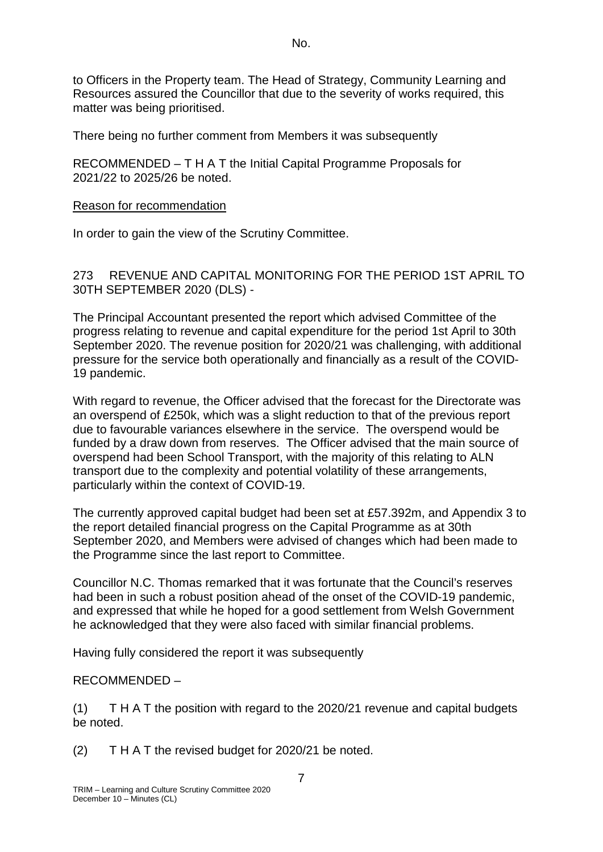to Officers in the Property team. The Head of Strategy, Community Learning and Resources assured the Councillor that due to the severity of works required, this matter was being prioritised.

There being no further comment from Members it was subsequently

RECOMMENDED – T H A T the Initial Capital Programme Proposals for 2021/22 to 2025/26 be noted.

#### Reason for recommendation

In order to gain the view of the Scrutiny Committee.

273 REVENUE AND CAPITAL MONITORING FOR THE PERIOD 1ST APRIL TO 30TH SEPTEMBER 2020 (DLS) -

The Principal Accountant presented the report which advised Committee of the progress relating to revenue and capital expenditure for the period 1st April to 30th September 2020. The revenue position for 2020/21 was challenging, with additional pressure for the service both operationally and financially as a result of the COVID-19 pandemic.

With regard to revenue, the Officer advised that the forecast for the Directorate was an overspend of £250k, which was a slight reduction to that of the previous report due to favourable variances elsewhere in the service. The overspend would be funded by a draw down from reserves. The Officer advised that the main source of overspend had been School Transport, with the majority of this relating to ALN transport due to the complexity and potential volatility of these arrangements, particularly within the context of COVID-19.

The currently approved capital budget had been set at £57.392m, and Appendix 3 to the report detailed financial progress on the Capital Programme as at 30th September 2020, and Members were advised of changes which had been made to the Programme since the last report to Committee.

Councillor N.C. Thomas remarked that it was fortunate that the Council's reserves had been in such a robust position ahead of the onset of the COVID-19 pandemic, and expressed that while he hoped for a good settlement from Welsh Government he acknowledged that they were also faced with similar financial problems.

Having fully considered the report it was subsequently

# RECOMMENDED –

(1) T H A T the position with regard to the 2020/21 revenue and capital budgets be noted.

(2) T H A T the revised budget for 2020/21 be noted.